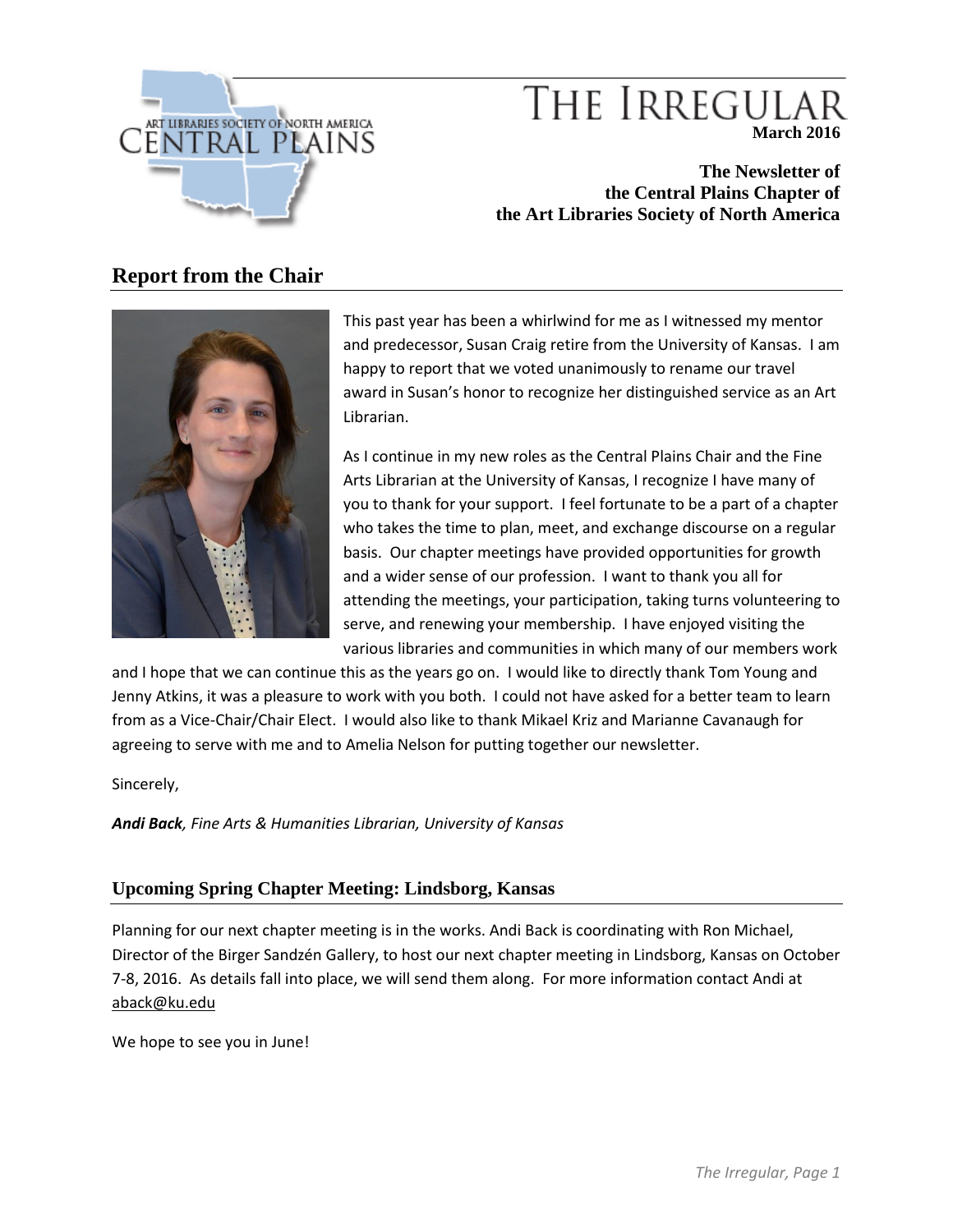

# THE IRREGULA **March 2016**

**The Newsletter of the Central Plains Chapter of the Art Libraries Society of North America**

# **Report from the Chair**



This past year has been a whirlwind for me as I witnessed my mentor and predecessor, Susan Craig retire from the University of Kansas. I am happy to report that we voted unanimously to rename our travel award in Susan's honor to recognize her distinguished service as an Art Librarian.

As I continue in my new roles as the Central Plains Chair and the Fine Arts Librarian at the University of Kansas, I recognize I have many of you to thank for your support. I feel fortunate to be a part of a chapter who takes the time to plan, meet, and exchange discourse on a regular basis. Our chapter meetings have provided opportunities for growth and a wider sense of our profession. I want to thank you all for attending the meetings, your participation, taking turns volunteering to serve, and renewing your membership. I have enjoyed visiting the various libraries and communities in which many of our members work

and I hope that we can continue this as the years go on. I would like to directly thank Tom Young and Jenny Atkins, it was a pleasure to work with you both. I could not have asked for a better team to learn from as a Vice-Chair/Chair Elect. I would also like to thank Mikael Kriz and Marianne Cavanaugh for agreeing to serve with me and to Amelia Nelson for putting together our newsletter.

Sincerely,

*Andi Back, Fine Arts & Humanities Librarian, University of Kansas*

# **Upcoming Spring Chapter Meeting: Lindsborg, Kansas**

Planning for our next chapter meeting is in the works. Andi Back is coordinating with Ron Michael, Director of the Birger Sandzén Gallery, to host our next chapter meeting in Lindsborg, Kansas on October 7-8, 2016. As details fall into place, we will send them along. For more information contact Andi at [aback@ku.edu](mailto:aback@ku.edu)

We hope to see you in June!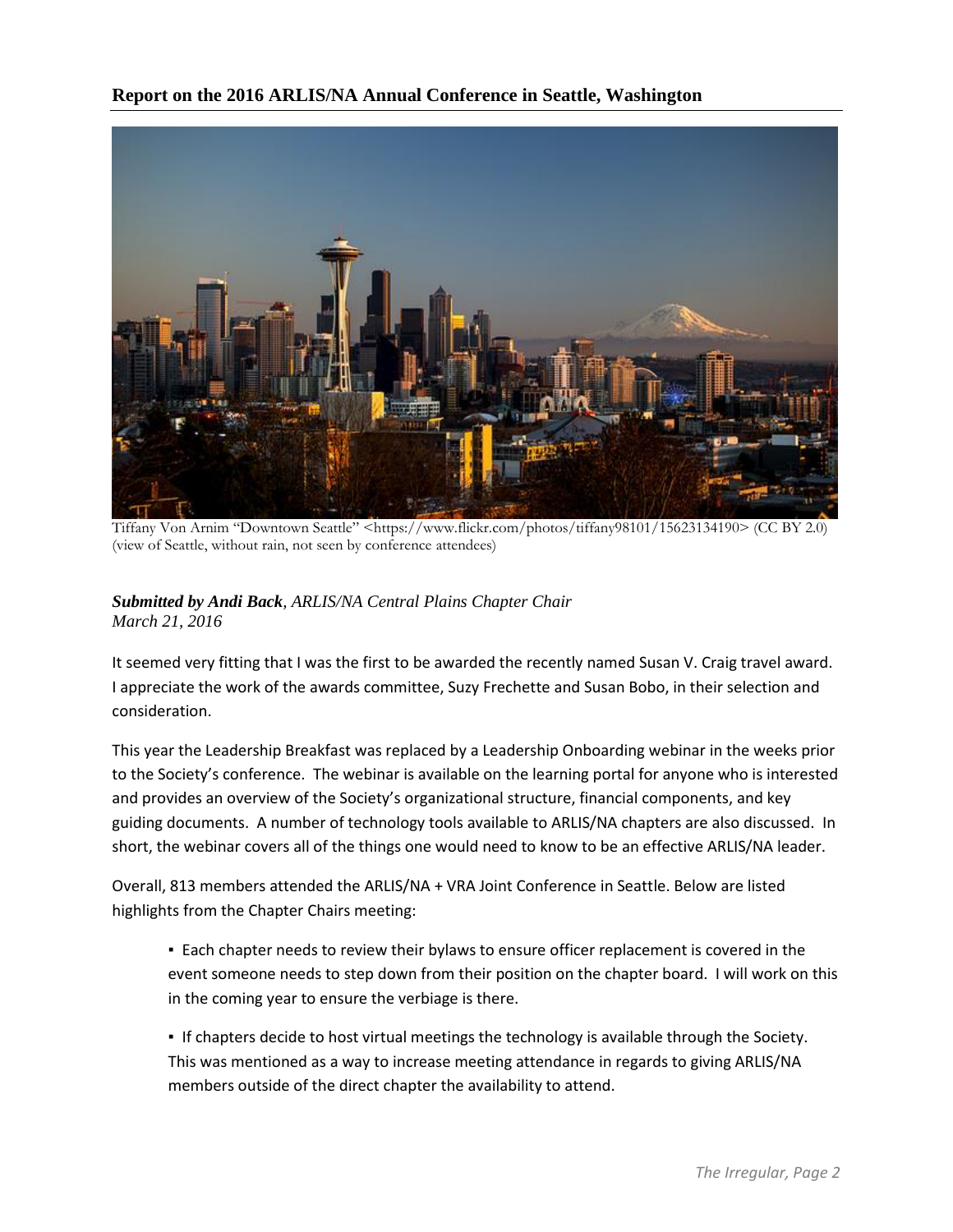**Report on the 2016 ARLIS/NA Annual Conference in Seattle, Washington**



Tiffany Von Arnim "Downtown Seattle" <https://www.flickr.com/photos/tiffany98101/15623134190> (CC BY 2.0) (view of Seattle, without rain, not seen by conference attendees)

### *Submitted by Andi Back, ARLIS/NA Central Plains Chapter Chair March 21, 2016*

It seemed very fitting that I was the first to be awarded the recently named Susan V. Craig travel award. I appreciate the work of the awards committee, Suzy Frechette and Susan Bobo, in their selection and consideration.

This year the Leadership Breakfast was replaced by a Leadership Onboarding webinar in the weeks prior to the Society's conference. The webinar is available on the learning portal for anyone who is interested and provides an overview of the Society's organizational structure, financial components, and key guiding documents. A number of technology tools available to ARLIS/NA chapters are also discussed. In short, the webinar covers all of the things one would need to know to be an effective ARLIS/NA leader.

Overall, 813 members attended the ARLIS/NA + VRA Joint Conference in Seattle. Below are listed highlights from the Chapter Chairs meeting:

**Each chapter needs to review their bylaws to ensure officer replacement is covered in the** event someone needs to step down from their position on the chapter board. I will work on this in the coming year to ensure the verbiage is there.

▪ If chapters decide to host virtual meetings the technology is available through the Society. This was mentioned as a way to increase meeting attendance in regards to giving ARLIS/NA members outside of the direct chapter the availability to attend.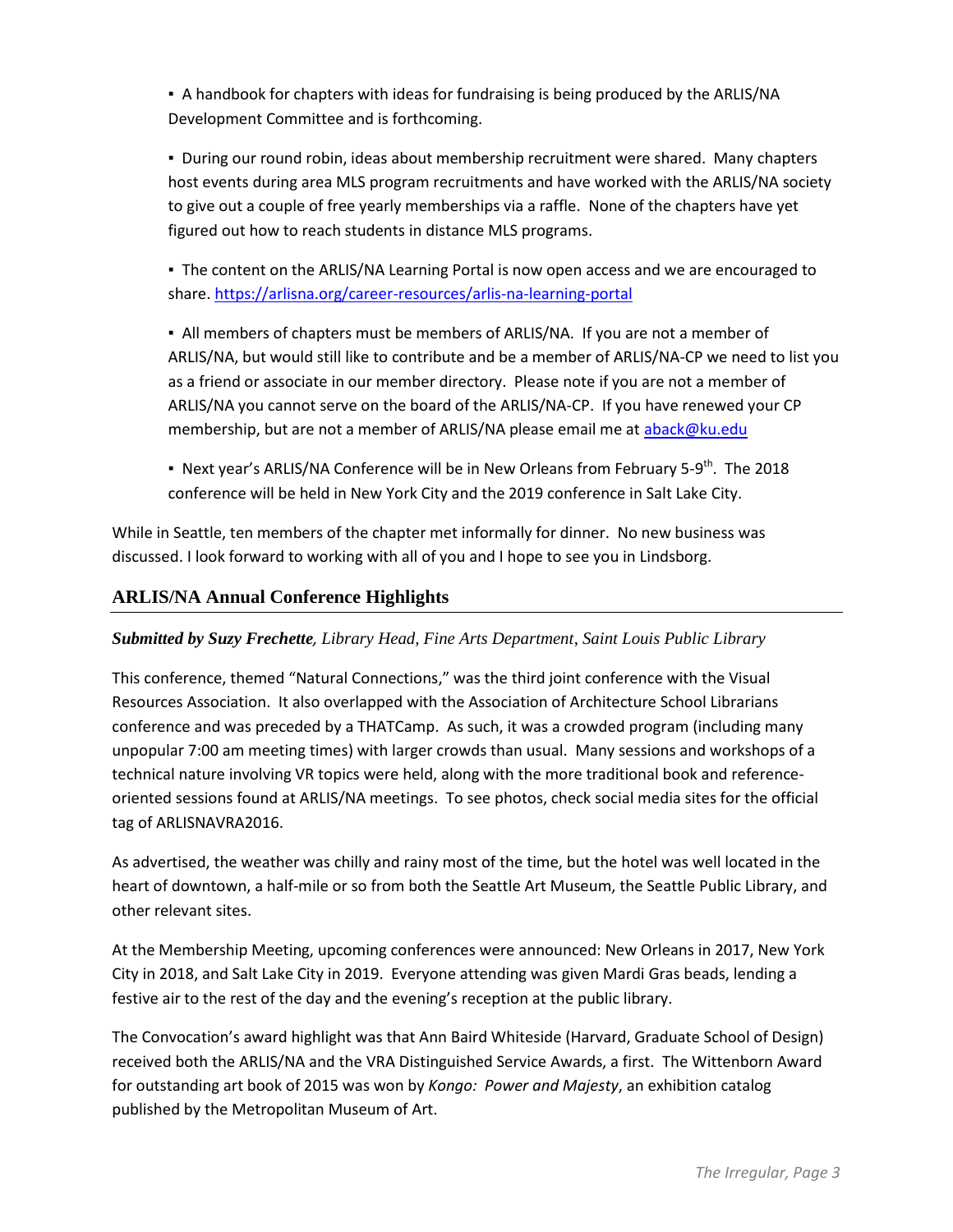▪ A handbook for chapters with ideas for fundraising is being produced by the ARLIS/NA Development Committee and is forthcoming.

**• During our round robin, ideas about membership recruitment were shared. Many chapters** host events during area MLS program recruitments and have worked with the ARLIS/NA society to give out a couple of free yearly memberships via a raffle. None of the chapters have yet figured out how to reach students in distance MLS programs.

▪ The content on the ARLIS/NA Learning Portal is now open access and we are encouraged to share.<https://arlisna.org/career-resources/arlis-na-learning-portal>

▪ All members of chapters must be members of ARLIS/NA. If you are not a member of ARLIS/NA, but would still like to contribute and be a member of ARLIS/NA-CP we need to list you as a friend or associate in our member directory. Please note if you are not a member of ARLIS/NA you cannot serve on the board of the ARLIS/NA-CP. If you have renewed your CP membership, but are not a member of ARLIS/NA please email me at [aback@ku.edu](mailto:aback@ku.edu)

 $\bullet$  Next year's ARLIS/NA Conference will be in New Orleans from February 5-9<sup>th</sup>. The 2018 conference will be held in New York City and the 2019 conference in Salt Lake City.

While in Seattle, ten members of the chapter met informally for dinner. No new business was discussed. I look forward to working with all of you and I hope to see you in Lindsborg.

# **ARLIS/NA Annual Conference Highlights**

#### *Submitted by Suzy Frechette, Library Head, Fine Arts Department*, *Saint Louis Public Library*

This conference, themed "Natural Connections," was the third joint conference with the Visual Resources Association. It also overlapped with the Association of Architecture School Librarians conference and was preceded by a THATCamp. As such, it was a crowded program (including many unpopular 7:00 am meeting times) with larger crowds than usual. Many sessions and workshops of a technical nature involving VR topics were held, along with the more traditional book and referenceoriented sessions found at ARLIS/NA meetings. To see photos, check social media sites for the official tag of ARLISNAVRA2016.

As advertised, the weather was chilly and rainy most of the time, but the hotel was well located in the heart of downtown, a half-mile or so from both the Seattle Art Museum, the Seattle Public Library, and other relevant sites.

At the Membership Meeting, upcoming conferences were announced: New Orleans in 2017, New York City in 2018, and Salt Lake City in 2019. Everyone attending was given Mardi Gras beads, lending a festive air to the rest of the day and the evening's reception at the public library.

The Convocation's award highlight was that Ann Baird Whiteside (Harvard, Graduate School of Design) received both the ARLIS/NA and the VRA Distinguished Service Awards, a first. The Wittenborn Award for outstanding art book of 2015 was won by *Kongo: Power and Majesty*, an exhibition catalog published by the Metropolitan Museum of Art.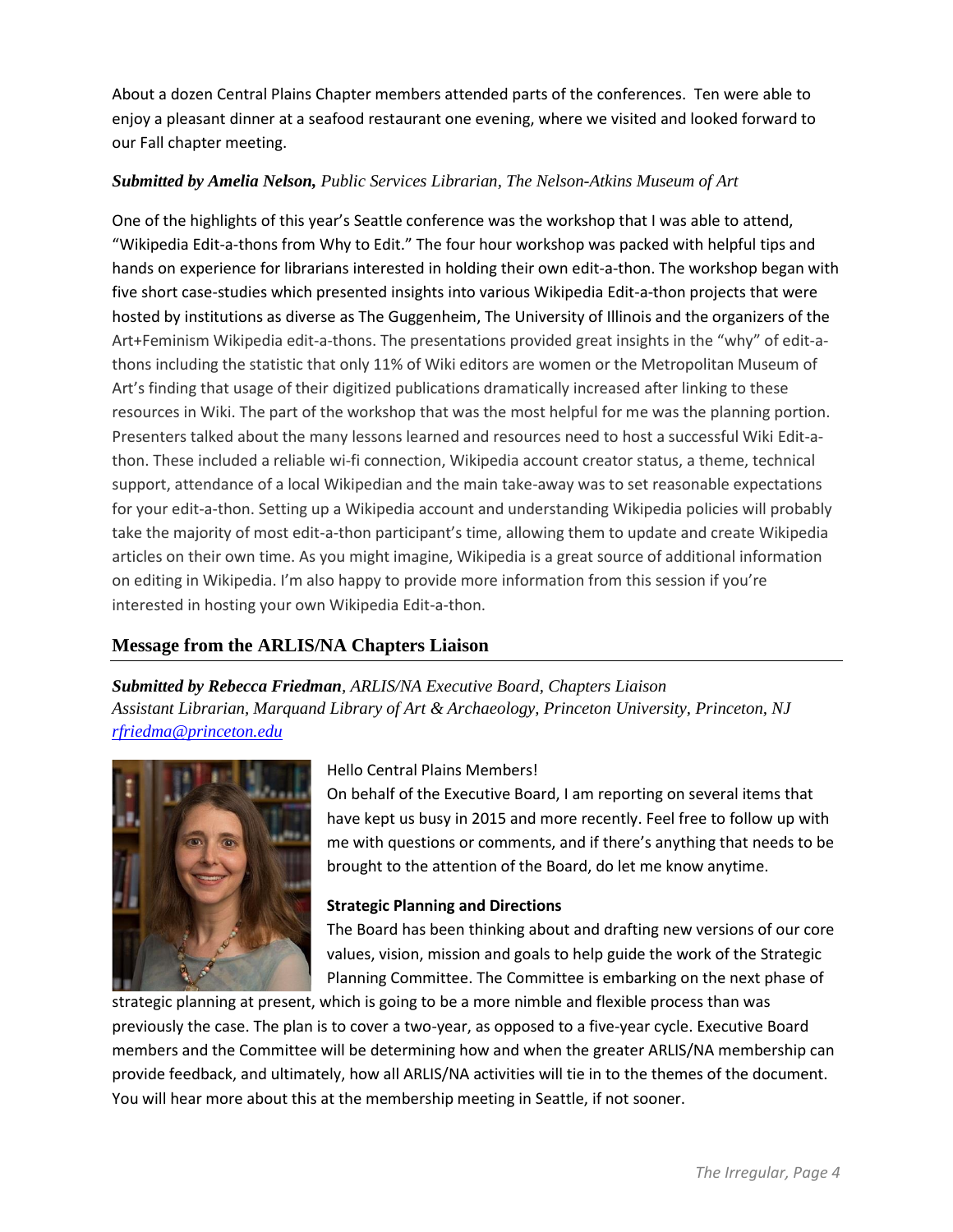About a dozen Central Plains Chapter members attended parts of the conferences. Ten were able to enjoy a pleasant dinner at a seafood restaurant one evening, where we visited and looked forward to our Fall chapter meeting.

#### *Submitted by Amelia Nelson, Public Services Librarian, The Nelson-Atkins Museum of Art*

One of the highlights of this year's Seattle conference was the workshop that I was able to attend, "Wikipedia Edit-a-thons from Why to Edit." The four hour workshop was packed with helpful tips and hands on experience for librarians interested in holding their own edit-a-thon. The workshop began with five short case-studies which presented insights into various Wikipedia Edit-a-thon projects that were hosted by institutions as diverse as The Guggenheim, The University of Illinois and the organizers of the Art+Feminism Wikipedia edit-a-thons. The presentations provided great insights in the "why" of edit-athons including the statistic that only 11% of Wiki editors are women or the Metropolitan Museum of Art's finding that usage of their digitized publications dramatically increased after linking to these resources in Wiki. The part of the workshop that was the most helpful for me was the planning portion. Presenters talked about the many lessons learned and resources need to host a successful Wiki Edit-athon. These included a reliable wi-fi connection, Wikipedia account creator status, a theme, technical support, attendance of a local Wikipedian and the main take-away was to set reasonable expectations for your edit-a-thon. Setting up a Wikipedia account and understanding Wikipedia policies will probably take the majority of most edit-a-thon participant's time, allowing them to update and create Wikipedia articles on their own time. As you might imagine, Wikipedia is a great source of additional information on editing in Wikipedia. I'm also happy to provide more information from this session if you're interested in hosting your own Wikipedia Edit-a-thon.

# **Message from the ARLIS/NA Chapters Liaison**

*Submitted by Rebecca Friedman, ARLIS/NA Executive Board, Chapters Liaison Assistant Librarian, Marquand Library of Art & Archaeology, Princeton University, Princeton, NJ [rfriedma@princeton.edu](mailto:rfriedma@princeton.edu)*



#### Hello Central Plains Members!

On behalf of the Executive Board, I am reporting on several items that have kept us busy in 2015 and more recently. Feel free to follow up with me with questions or comments, and if there's anything that needs to be brought to the attention of the Board, do let me know anytime.

#### **Strategic Planning and Directions**

The Board has been thinking about and drafting new versions of our core values, vision, mission and goals to help guide the work of the Strategic Planning Committee. The Committee is embarking on the next phase of

strategic planning at present, which is going to be a more nimble and flexible process than was previously the case. The plan is to cover a two-year, as opposed to a five-year cycle. Executive Board members and the Committee will be determining how and when the greater ARLIS/NA membership can provide feedback, and ultimately, how all ARLIS/NA activities will tie in to the themes of the document. You will hear more about this at the membership meeting in Seattle, if not sooner.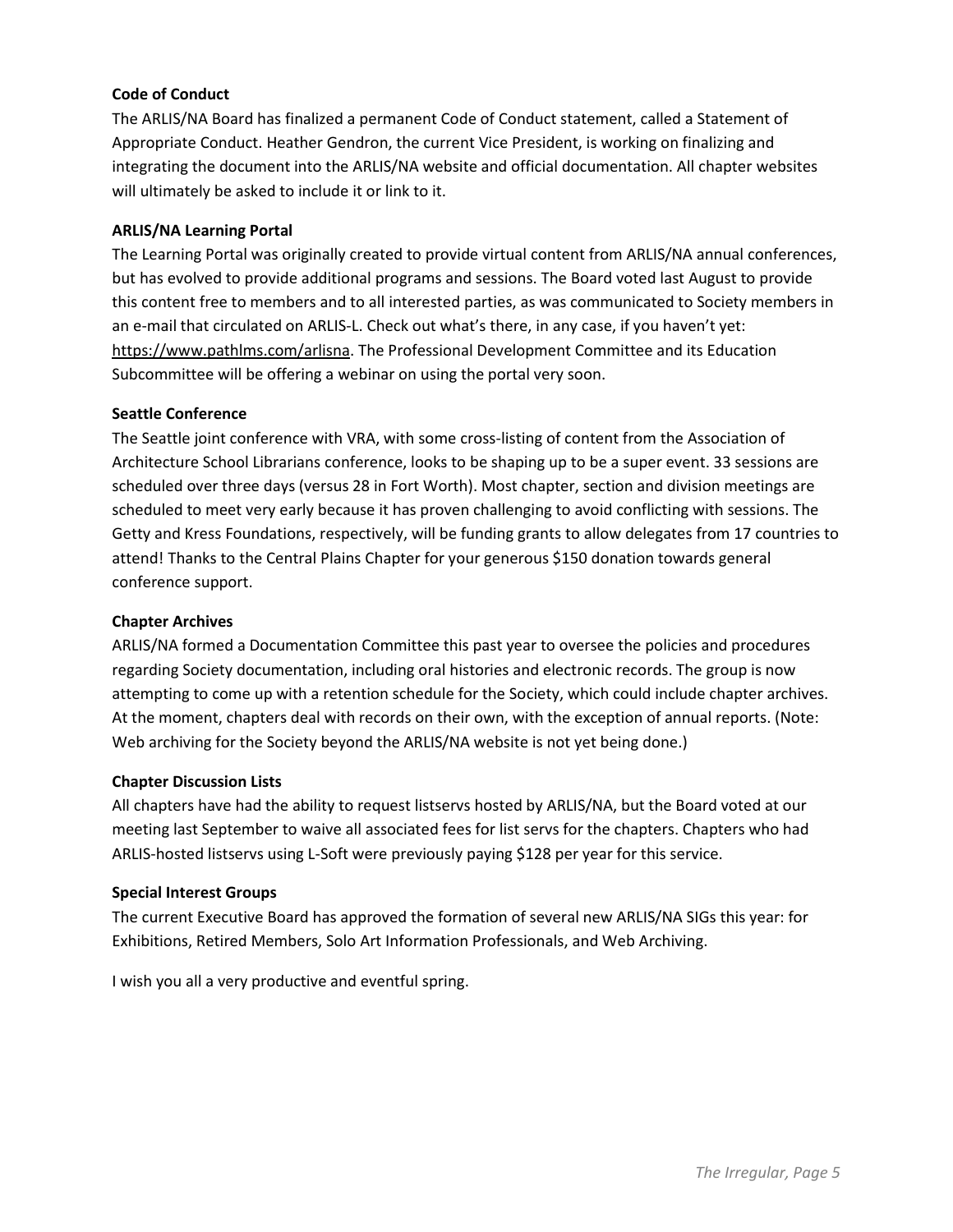#### **Code of Conduct**

The ARLIS/NA Board has finalized a permanent Code of Conduct statement, called a Statement of Appropriate Conduct. Heather Gendron, the current Vice President, is working on finalizing and integrating the document into the ARLIS/NA website and official documentation. All chapter websites will ultimately be asked to include it or link to it.

#### **ARLIS/NA Learning Portal**

The Learning Portal was originally created to provide virtual content from ARLIS/NA annual conferences, but has evolved to provide additional programs and sessions. The Board voted last August to provide this content free to members and to all interested parties, as was communicated to Society members in an e-mail that circulated on ARLIS-L. Check out what's there, in any case, if you haven't yet: [https://www.pathlms.com/arlisna.](https://www.pathlms.com/arlisna) The Professional Development Committee and its Education Subcommittee will be offering a webinar on using the portal very soon.

#### **Seattle Conference**

The Seattle joint conference with VRA, with some cross-listing of content from the Association of Architecture School Librarians conference, looks to be shaping up to be a super event. 33 sessions are scheduled over three days (versus 28 in Fort Worth). Most chapter, section and division meetings are scheduled to meet very early because it has proven challenging to avoid conflicting with sessions. The Getty and Kress Foundations, respectively, will be funding grants to allow delegates from 17 countries to attend! Thanks to the Central Plains Chapter for your generous \$150 donation towards general conference support.

#### **Chapter Archives**

ARLIS/NA formed a Documentation Committee this past year to oversee the policies and procedures regarding Society documentation, including oral histories and electronic records. The group is now attempting to come up with a retention schedule for the Society, which could include chapter archives. At the moment, chapters deal with records on their own, with the exception of annual reports. (Note: Web archiving for the Society beyond the ARLIS/NA website is not yet being done.)

#### **Chapter Discussion Lists**

All chapters have had the ability to request listservs hosted by ARLIS/NA, but the Board voted at our meeting last September to waive all associated fees for list servs for the chapters. Chapters who had ARLIS-hosted listservs using L-Soft were previously paying \$128 per year for this service.

#### **Special Interest Groups**

The current Executive Board has approved the formation of several new ARLIS/NA SIGs this year: for Exhibitions, Retired Members, Solo Art Information Professionals, and Web Archiving.

I wish you all a very productive and eventful spring.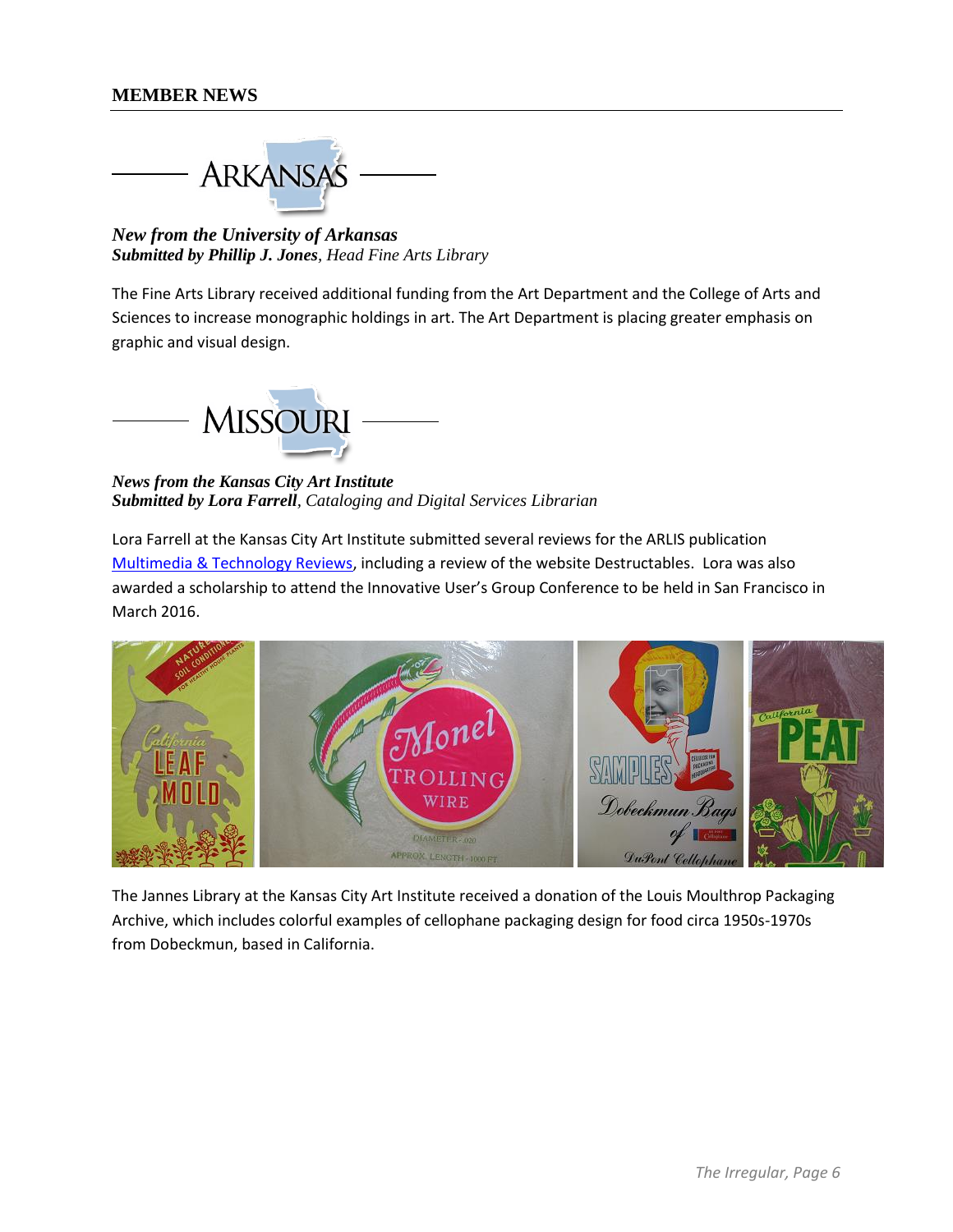**ARKANSAS** 

*New from the University of Arkansas Submitted by Phillip J. Jones, Head Fine Arts Library*

The Fine Arts Library received additional funding from the Art Department and the College of Arts and Sciences to increase monographic holdings in art. The Art Department is placing greater emphasis on graphic and visual design.



*News from the Kansas City Art Institute Submitted by Lora Farrell, Cataloging and Digital Services Librarian* 

Lora Farrell at the Kansas City Art Institute submitted several reviews for the ARLIS publication [Multimedia & Technology Reviews,](https://www.arlisna.org/publications/multimedia-technology-reviews) including a review of the website Destructables. Lora was also awarded a scholarship to attend the Innovative User's Group Conference to be held in San Francisco in March 2016.



The Jannes Library at the Kansas City Art Institute received a donation of the Louis Moulthrop Packaging Archive, which includes colorful examples of cellophane packaging design for food circa 1950s-1970s from Dobeckmun, based in California.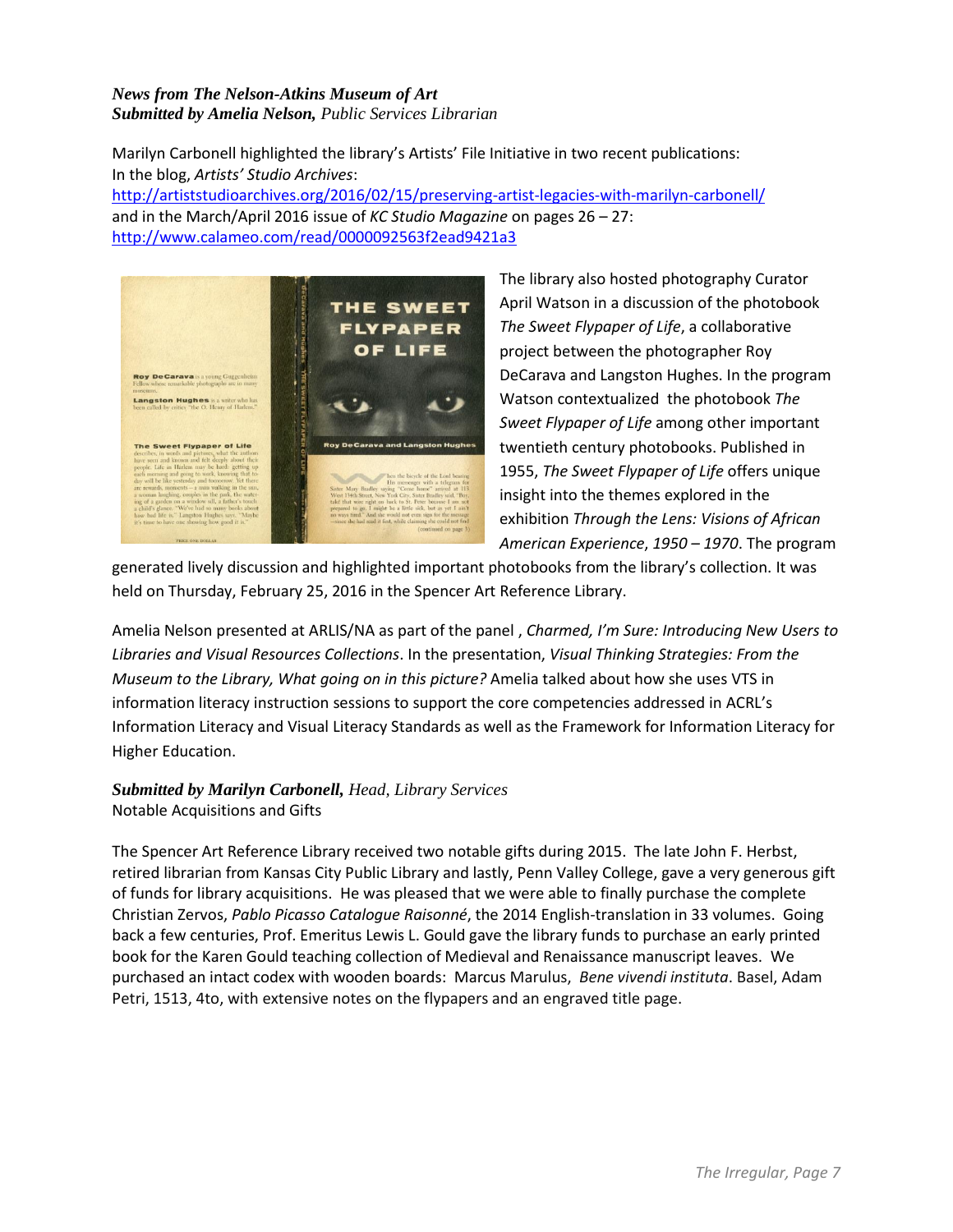#### *News from The Nelson-Atkins Museum of Art Submitted by Amelia Nelson, Public Services Librarian*

Marilyn Carbonell highlighted the library's Artists' File Initiative in two recent publications: In the blog, *Artists' Studio Archives*:

<http://artiststudioarchives.org/2016/02/15/preserving-artist-legacies-with-marilyn-carbonell/> and in the March/April 2016 issue of *KC Studio Magazine* on pages 26 – 27: <http://www.calameo.com/read/0000092563f2ead9421a3>



The library also hosted photography Curator April Watson in a discussion of the photobook *The Sweet Flypaper of Life*, a collaborative project between the photographer Roy DeCarava and Langston Hughes. In the program Watson contextualized the photobook *The Sweet Flypaper of Life* among other important twentieth century photobooks. Published in 1955, *The Sweet Flypaper of Life* offers unique insight into the themes explored in the exhibition *Through the Lens: Visions of African American Experience*, *1950 – 1970*. The program

generated lively discussion and highlighted important photobooks from the library's collection. It was held on Thursday, February 25, 2016 in the Spencer Art Reference Library.

Amelia Nelson presented at ARLIS/NA as part of the panel , *Charmed, I'm Sure: Introducing New Users to Libraries and Visual Resources Collections*. In the presentation, *Visual Thinking Strategies: From the Museum to the Library, What going on in this picture?* Amelia talked about how she uses VTS in information literacy instruction sessions to support the core competencies addressed in ACRL's Information Literacy and Visual Literacy Standards as well as the Framework for Information Literacy for Higher Education.

#### *Submitted by Marilyn Carbonell, Head, Library Services* Notable Acquisitions and Gifts

The Spencer Art Reference Library received two notable gifts during 2015. The late John F. Herbst, retired librarian from Kansas City Public Library and lastly, Penn Valley College, gave a very generous gift of funds for library acquisitions. He was pleased that we were able to finally purchase the complete Christian Zervos, *Pablo Picasso Catalogue Raisonné*, the 2014 English-translation in 33 volumes. Going back a few centuries, Prof. Emeritus Lewis L. Gould gave the library funds to purchase an early printed book for the Karen Gould teaching collection of Medieval and Renaissance manuscript leaves. We purchased an intact codex with wooden boards: Marcus Marulus, *Bene vivendi instituta*. Basel, Adam Petri, 1513, 4to, with extensive notes on the flypapers and an engraved title page.